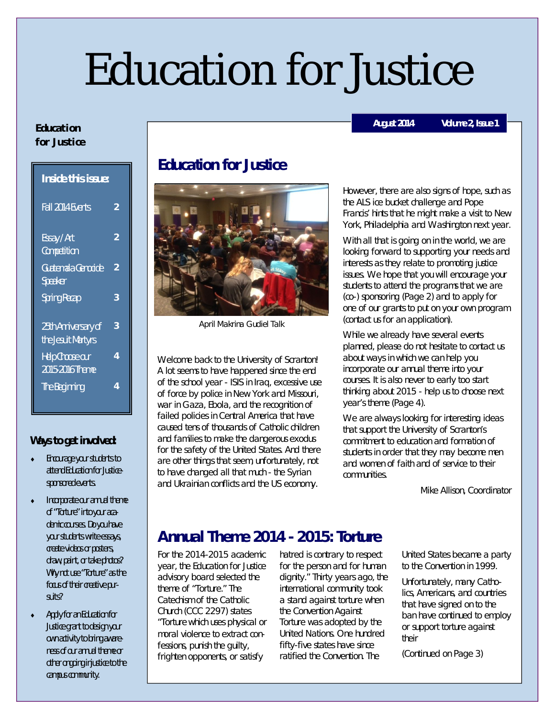# Education for Justice

#### **E du cat i o n for Justice**

| <b>Inside this issue:</b>                 |   |
|-------------------------------------------|---|
| <b>Fall 2014 Events</b>                   | 2 |
| Essay / Art<br>Competition                | 2 |
| Guatemala Genocide<br>Speaker             | 2 |
| <b>Spring Recap</b>                       | 3 |
| 25th Anniversary of<br>the Jesuit Martyrs | 3 |
| Help Choose our<br>2015-2016 Theme        | 4 |
| The Beginning                             | 4 |

#### **Ways to get involved:**

- Encourage your students to attend Education for Justicesponsored events.
- Incorporate our annual theme of "Torture" into your academic courses. Do you have your students write essays, create videos or posters, draw, paint, or take photos? Why not use "Torture" as the focus of their creative pursuits?
- Apply for an Education for Justice grant to design your own activity to bring awareness of our annual theme or other ongoing injustice to the campus community.

## **Education for Justice**



April Makrina Gudiel Talk

Welcome back to the University of Scranton! A lot seems to have happened since the end of the school year - ISIS in Iraq, excessive use of force by police in New York and Missouri, war in Gaza, Ebola, and the recognition of failed policies in Central America that have caused tens of thousands of Catholic children and families to make the dangerous exodus for the safety of the United States. And there are other things that seem, unfortunately, not to have changed all that much - the Syrian and Ukrainian conflicts and the US economy.

However, there are also signs of hope, such as the ALS ice bucket challenge and Pope Francis' hints that he might make a visit to New York, Philadelphia and Washington next year.

With all that is going on in the world, we are looking forward to supporting your needs and interests as they relate to promoting justice issues. We hope that you will encourage your students to attend the programs that we are (co-) sponsoring (Page 2) and to apply for one of our grants to put on your own program (contact us for an application).

While we already have several events planned, please do not hesitate to contact us about ways in which we can help you incorporate our annual theme into your courses. It is also never to early too start thinking about 2015 - help us to choose next year's theme (Page 4).

We are always looking for interesting ideas that support the University of Scranton's commitment to education and formation of students in order that they may become men and women of faith and of service to their communities.

Mike Allison, Coordinator

### **Annual Theme 2014 - 2015: Torture**

For the 2014-2015 academic year, the Education for Justice advisory board selected the theme of "Torture." The Catechism of the Catholic Church (CCC 2297) states "*Torture* which uses physical or moral violence to extract confessions, punish the guilty, frighten opponents, or satisfy

hatred is contrary to respect for the person and for human dignity." Thirty years ago, the international community took a stand against torture when the Convention Against Torture was adopted by the United Nations. One hundred fifty-five states have since ratified the Convention. The

United States became a party to the Convention in 1999.

Unfortunately, many Catholics, Americans, and countries that have signed on to the ban have continued to employ or support torture against their

(Continued on Page 3)

#### **August 2014 Volume 2, Issue 1**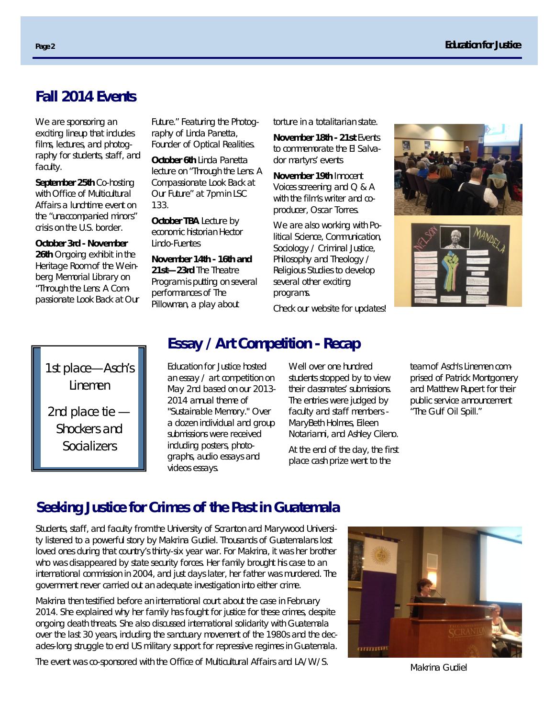#### **Fall 2014 Events**

We are sponsoring an exciting lineup that includes films, lectures, and photography for students, staff, and faculty.

**September 25th** Co-hosting with Office of Multicultural Affairs a lunchtime event on the "unaccompanied minors" crisis on the U.S. border.

**October 3rd - November 26th** Ongoing exhibit in the Heritage Room of the Weinberg Memorial Library on "Through the Lens: A Compassionate Look Back at Our Future." Featuring the Photography of Linda Panetta, Founder of Optical Realities.

**October 6th** Linda Panetta lecture on "Through the Lens: A Compassionate Look Back at Our Future" at 7pm in LSC 133.

**October TBA** Lecture by economic historian Hector Lindo-Fuentes

**November 14th - 16th and 21st—23rd** The Theatre Program is putting on several performances of *The Pillowman*, a play about

torture in a totalitarian state.

**November 18th - 21st** Events to commemorate the El Salvador martyrs' events

**November 19th** *Innocent Voices* screening and Q & A with the film's writer and coproducer, Oscar Torres.

We are also working with Political Science, Communication, Sociology / Criminal Justice, Philosophy and Theology / Religious Studies to develop several other exciting programs.

Check our website for updates!





## 1st place—Asch's Linemen

2nd place tie — Shockers and **Socializers** 

## **Essay / Art Competition - Recap**

Education for Justice hosted an essay / art competition on May 2nd based on our 2013- 2014 annual theme of "Sustainable Memory." Over a dozen individual and group submissions were received including posters, photographs, audio essays and videos essays.

Well over one hundred students stopped by to view their classmates' submissions. The entries were judged by faculty and staff members - MaryBeth Holmes, Eileen Notarianni, and Ashley Cileno.

At the end of the day, the first place cash prize went to the

team of Asch's Linemen comprised of Patrick Montgomery and Matthew Rupert for their public service announcement "The Gulf Oil Spill."

#### **Seeking Justice for Crimes of the Past in Guatemala**

Students, staff, and faculty from the University of Scranton and Marywood University listened to a powerful story by Makrina Gudiel. Thousands of Guatemalans lost loved ones during that country's thirty-six year war. For Makrina, it was her brother who was disappeared by state security forces. Her family brought his case to an international commission in 2004, and just days later, her father was murdered. The government never carried out an adequate investigation into either crime.

Makrina then testified before an international court about the case in February 2014. She explained why her family has fought for justice for these crimes, despite ongoing death threats. She also discussed international solidarity with Guatemala over the last 30 years, including the sanctuary movement of the 1980s and the decades-long struggle to end US military support for repressive regimes in Guatemala.

The event was co-sponsored with the Office of Multicultural Affairs and LA/W/S.



Makrina Gudiel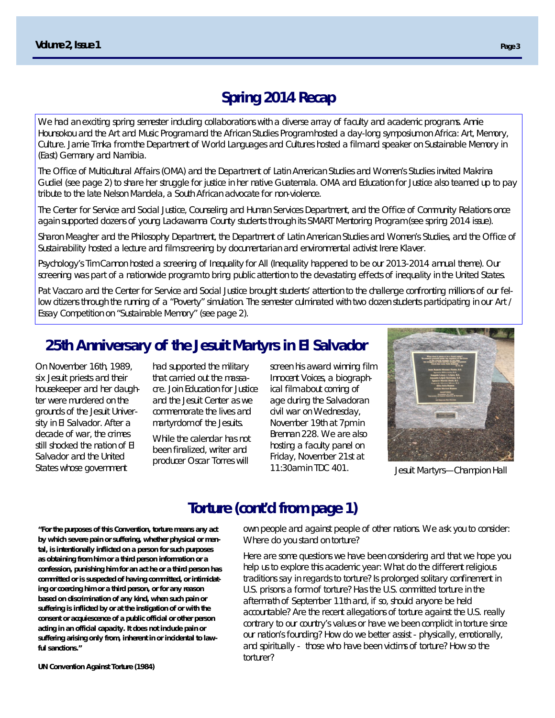### **Spring 2014 Recap**

We had an exciting spring semester including collaborations with a diverse array of faculty and academic programs. Annie Hounsokou and the Art and Music Program and the African Studies Program hosted a day-long symposium on Africa: Art, Memory, Culture. Jamie Trnka from the Department of World Languages and Cultures hosted a film and speaker on Sustainable Memory in (East) Germany and Namibia.

The Office of Multicultural Affairs (OMA) and the Department of Latin American Studies and Women's Studies invited Makrina Gudiel (see page 2) to share her struggle for justice in her native Guatemala. OMA and Education for Justice also teamed up to pay tribute to the late Nelson Mandela, a South African advocate for non-violence.

The Center for Service and Social Justice, Counseling and Human Services Department, and the Office of Community Relations once again supported dozens of young Lackawanna County students through its SMART Mentoring Program (see spring 2014 issue).

Sharon Meagher and the Philosophy Department, the Department of Latin American Studies and Women's Studies, and the Office of Sustainability hosted a lecture and film screening by documentarian and environmental activist Irene Klaver.

Psychology's Tim Cannon hosted a screening of *Inequality for All* (Inequality happened to be our 2013-2014 annual theme)*.* Our screening was part of a nationwide program to bring public attention to the devastating effects of inequality in the United States.

Pat Vaccaro and the Center for Service and Social Justice brought students' attention to the challenge confronting millions of our fellow citizens through the running of a "Poverty" simulation. The semester culminated with two dozen students participating in our Art / Essay Competition on "Sustainable Memory" (see page 2).

#### **25th Anniversary of the Jesuit Martyrs in El Salvador**

On November 16th, 1989, six Jesuit priests and their housekeeper and her daughter were murdered on the grounds of the Jesuit University in El Salvador. After a decade of war, the crimes still shocked the nation of El Salvador and the United States whose government

had supported the military that carried out the massacre. Join Education for Justice and the Jesuit Center as we commemorate the lives and martyrdom of the Jesuits.

While the calendar has not been finalized, writer and producer Oscar Torres will

screen his award winning film *Innocent Voices*, a biographical film about coming of age during the Salvadoran civil war on Wednesday, November 19th at 7pm in Brennan 228. We are also hosting a faculty panel on Friday, November 21st at 11:30am in TDC 401.



Jesuit Martyrs—Champion Hall

### **Torture (cont'd from page 1)**

own people and against people of other nations. We ask you to consider: Where do you stand on torture?

Here are some questions we have been considering and that we hope you help us to explore this academic year: What do the different religious traditions say in regards to torture? Is prolonged solitary confinement in U.S. prisons a form of torture? Has the U.S. committed torture in the aftermath of September 11th and, if so, should anyone be held accountable? Are the recent allegations of torture against the U.S. really contrary to our country's values or have we been complicit in torture since our nation's founding? How do we better assist - physically, emotionally, and spiritually - those who have been victims of torture? How so the torturer?

**"For the purposes of this Convention, torture means any act by which severe pain or suffering, whether physical or mental, is intentionally inflicted on a person for such purposes as obtaining from him or a third person information or a confession, punishing him for an act he or a third person has committed or is suspected of having committed, or intimidating or coercing him or a third person, or for any reason based on discrimination of any kind, when such pain or suffering is inflicted by or at the instigation of or with the consent or acquiescence of a public official or other person acting in an official capacity. It does not include pain or suffering arising only from, inherent in or incidental to lawful sanctions."**

**UN Convention Against Torture (1984)**